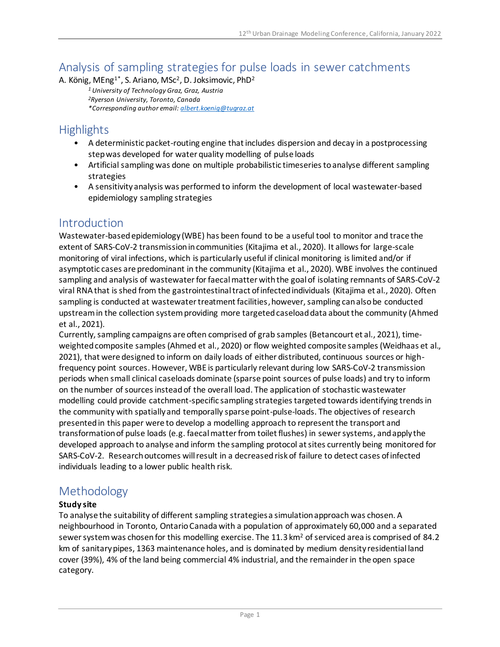# Analysis of sampling strategies for pulse loads in sewer catchments

A. König, MEng<sup>1\*</sup>, S. Ariano, MSc<sup>2</sup>, D. Joksimovic, PhD<sup>2</sup>

*<sup>1</sup> University of Technology Graz, Graz, Austria <sup>2</sup>Ryerson University, Toronto, Canada \*Corresponding author email[: albert.koenig@tugraz.at](mailto:albert.koenig@tugraz.at)*

## **Highlights**

- A deterministic packet-routing engine that includes dispersion and decay in a postprocessing step was developed for water quality modelling of pulse loads
- Artificial sampling was done on multiple probabilistic timeseries to analyse different sampling strategies
- A sensitivity analysis was performed to inform the development of local wastewater-based epidemiology sampling strategies

## **Introduction**

Wastewater-based epidemiology (WBE) has been found to be a useful tool to monitor and trace the extent of SARS-CoV-2 transmission in communities (Kitajima et al., 2020). It allows for large-scale monitoring of viral infections, which is particularly useful if clinical monitoring is limited and/or if asymptotic cases are predominant in the community (Kitajima et al., 2020). WBE involves the continued sampling and analysis of wastewater for faecalmatter with the goal of isolating remnants of SARS-CoV-2 viral RNA that is shed from the gastrointestinal tract of infected individuals (Kitajima et al., 2020). Often sampling is conducted at wastewater treatment facilities, however, sampling can also be conducted upstream in the collection system providing more targeted caseload data about the community (Ahmed et al., 2021).

Currently, sampling campaigns are often comprised of grab samples (Betancourt et al., 2021), timeweighted composite samples (Ahmed et al., 2020) or flow weighted composite samples (Weidhaas et al., 2021), that were designed to inform on daily loads of either distributed, continuous sources or highfrequency point sources. However, WBE is particularly relevant during low SARS-CoV-2 transmission periods when small clinical caseloads dominate (sparse point sources of pulse loads) and try to inform on the number of sources instead of the overall load. The application of stochastic wastewater modelling could provide catchment-specific sampling strategies targeted towards identifying trends in the community with spatially and temporally sparse point-pulse-loads. The objectives of research presented in this paper were to develop a modelling approach to represent the transport and transformation of pulse loads (e.g. faecalmatter from toilet flushes) in sewer systems, and apply the developed approach to analyse and inform the sampling protocol at sites currently being monitored for SARS-CoV-2. Research outcomes willresult in a decreased risk of failure to detect cases of infected individuals leading to a lower public health risk.

# Methodology

#### **Study site**

To analyse the suitability of different sampling strategies a simulation approach was chosen. A neighbourhood in Toronto, Ontario Canada with a population of approximately 60,000 and a separated sewer system was chosen for this modelling exercise. The 11.3 km<sup>2</sup> of serviced area is comprised of 84.2 km of sanitary pipes, 1363 maintenance holes, and is dominated by medium density residential land cover (39%), 4% of the land being commercial 4% industrial, and the remainder in the open space category.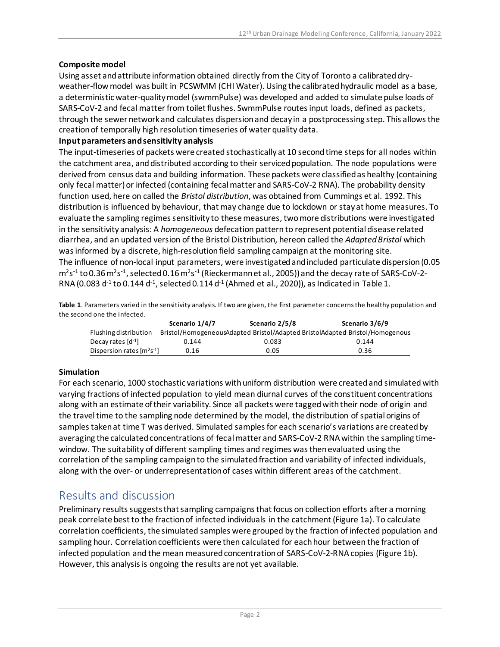#### **Composite model**

Using asset and attribute information obtained directly from the City of Toronto a calibrated dryweather-flow model was built in PCSWMM (CHI Water). Using the calibrated hydraulic model as a base, a deterministic water-quality model (swmmPulse) was developed and added to simulate pulse loads of SARS-CoV-2 and fecal matter from toilet flushes. SwmmPulse routes input loads, defined as packets, through the sewer network and calculates dispersion and decay in a postprocessing step. This allows the creation of temporally high resolution timeseries of water quality data.

#### **Input parameters and sensitivity analysis**

The input-timeseries of packets were created stochastically at 10 second time steps for all nodes within the catchment area, and distributed according to their serviced population. The node populations were derived from census data and building information. These packets were classified as healthy (containing only fecal matter) or infected (containing fecal matter and SARS-CoV-2 RNA). The probability density function used, here on called the *Bristol distribution*, was obtained from Cummings et al. 1992. This distribution is influenced by behaviour, that may change due to lockdown or stay at home measures. To evaluate the sampling regimes sensitivity to these measures, two more distributions were investigated in the sensitivity analysis: A *homogeneous* defecation pattern to represent potential disease related diarrhea, and an updated version of the Bristol Distribution, hereon called the *Adapted Bristol* which was informed by a discrete, high-resolution field sampling campaign at the monitoring site. The influence of non-local input parameters, were investigated and included particulate dispersion (0.05 m<sup>2</sup>s<sup>-1</sup> to 0.36 m<sup>2</sup>s<sup>-1</sup>, selected 0.16 m<sup>2</sup>s<sup>-1</sup> (Rieckermann et al., 2005)) and the decay rate of SARS-CoV-2-RNA (0.083 d<sup>-1</sup> to 0.144 d<sup>-1</sup>, selected 0.114 d<sup>-1</sup> (Ahmed et al., 2020)), as Indicated in Table 1.

**Table 1**. Parameters varied in the sensitivity analysis. If two are given, the first parameter concerns the healthy population and the second one the infected.

|                                                         | Scenario 1/4/7 | Scenario 2/5/8 | Scenario 3/6/9                                                               |
|---------------------------------------------------------|----------------|----------------|------------------------------------------------------------------------------|
| Flushing distribution                                   |                |                | Bristol/HomogeneousAdapted Bristol/Adapted BristolAdapted Bristol/Homogenous |
| Decay rates [d <sup>-1</sup> ]                          | 0.144          | 0.083          | 0.144                                                                        |
| Dispersion rates $\left[\text{m}^2\text{s}^{-1}\right]$ | 0.16           | 0.05           | 0.36                                                                         |

#### **Simulation**

For each scenario, 1000 stochastic variations with uniform distribution were created and simulated with varying fractions of infected population to yield mean diurnal curves of the constituent concentrations along with an estimate of their variability. Since all packets were tagged with their node of origin and the traveltime to the sampling node determined by the model, the distribution of spatial origins of samples taken at time T was derived. Simulated samples for each scenario's variations are created by averaging the calculated concentrations of fecal matter and SARS-CoV-2 RNA within the sampling timewindow. The suitability of different sampling times and regimes was then evaluated using the correlation of the sampling campaignto the simulated fraction and variability of infected individuals, along with the over- or underrepresentation of cases within different areas of the catchment.

### Results and discussion

Preliminary results suggests that sampling campaigns that focus on collection efforts after a morning peak correlate best to the fraction of infected individuals in the catchment (Figure 1a). To calculate correlation coefficients, the simulated samples were grouped by the fraction of infected population and sampling hour. Correlation coefficients were then calculated for each hour between the fraction of infected population and the mean measured concentration of SARS-CoV-2-RNA copies (Figure 1b). However, this analysis is ongoing the results are not yet available.